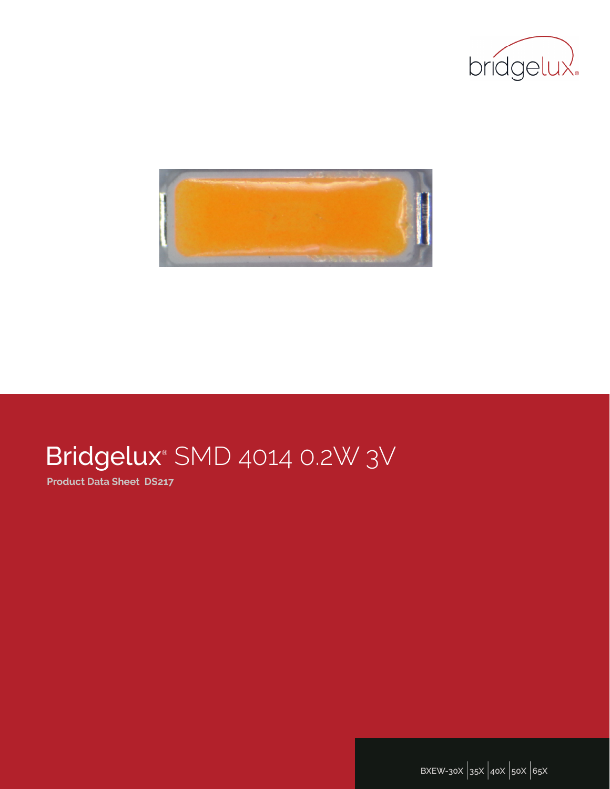



# Bridgelux<sup>®</sup> SMD 4014 0.2W 3V

**Product Data Sheet DS217**

**BXEW-30X** |**35X** |**40X** |**50X** |**65X**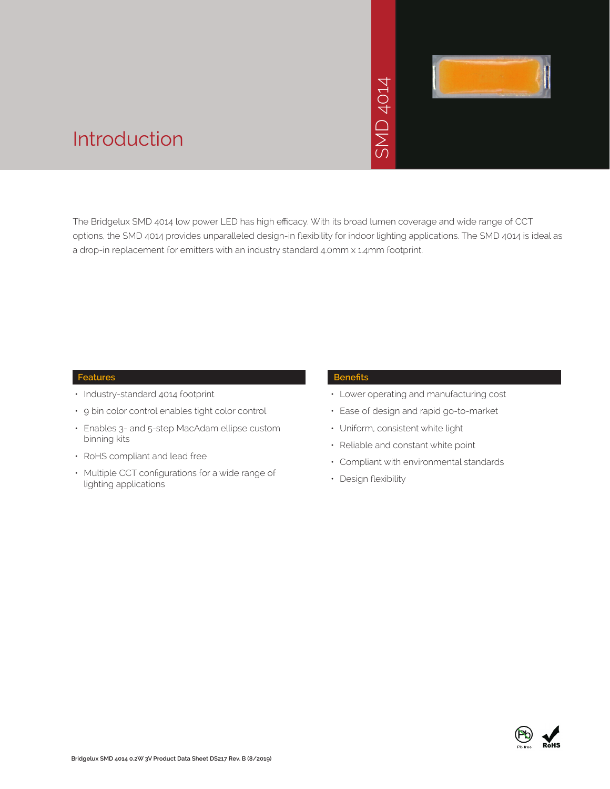# SMD 4014



## Introduction

The Bridgelux SMD 4014 low power LED has high efficacy. With its broad lumen coverage and wide range of CCT options, the SMD 4014 provides unparalleled design-in flexibility for indoor lighting applications. The SMD 4014 is ideal as a drop-in replacement for emitters with an industry standard 4.0mm x 1.4mm footprint. →<br>• Solid Strand Responsive<br>Strand Strand Control Strand Control Strand<br>Franch Strand Control Control Control Control Control Control Compliant with e<br>• Compliant with e<br>• Design flexibility

#### **Features**

- Industry-standard 4014 footprint
- 9 bin color control enables tight color control
- Enables 3- and 5-step MacAdam ellipse custom binning kits
- RoHS compliant and lead free
- Multiple CCT configurations for a wide range of lighting applications

#### **Benefits**

- Lower operating and manufacturing cost
- Ease of design and rapid go-to-market
- Uniform, consistent white light
- Reliable and constant white point
- Compliant with environmental standards
- · Design flexibility

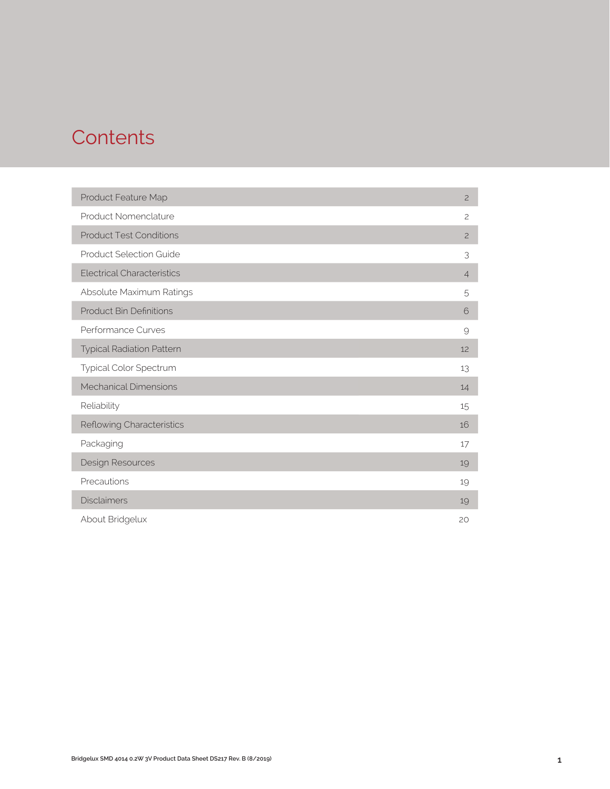## **Contents**

| Product Feature Map               | $\overline{c}$ |
|-----------------------------------|----------------|
| Product Nomenclature              | $\overline{c}$ |
| <b>Product Test Conditions</b>    | $\overline{c}$ |
| <b>Product Selection Guide</b>    | 3              |
| <b>Electrical Characteristics</b> | $\overline{4}$ |
| Absolute Maximum Ratings          | 5              |
| <b>Product Bin Definitions</b>    | 6              |
| Performance Curves                | 9              |
| <b>Typical Radiation Pattern</b>  | 12             |
| Typical Color Spectrum            | 13             |
| <b>Mechanical Dimensions</b>      | 14             |
| Reliability                       | 15             |
| Reflowing Characteristics         | 16             |
| Packaging                         | 17             |
| Design Resources                  | 19             |
| Precautions                       | 19             |
| <b>Disclaimers</b>                | 19             |
| About Bridgelux                   | 20             |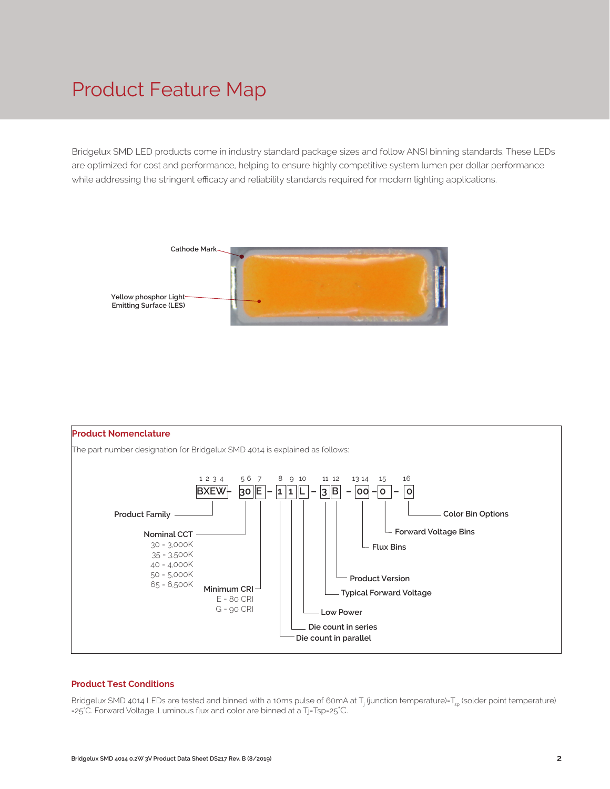## Product Feature Map

Bridgelux SMD LED products come in industry standard package sizes and follow ANSI binning standards. These LEDs are optimized for cost and performance, helping to ensure highly competitive system lumen per dollar performance while addressing the stringent efficacy and reliability standards required for modern lighting applications.





#### **Product Test Conditions**

Bridgelux SMD 4014 LEDs are tested and binned with a 10ms pulse of 60mA at T<sub>j</sub> (junction temperature)=T<sub>sp</sub> (solder point temperature) =25°C. Forward Voltage 、,Luminous flux and color are binned at a Tj=Tsp=25°C.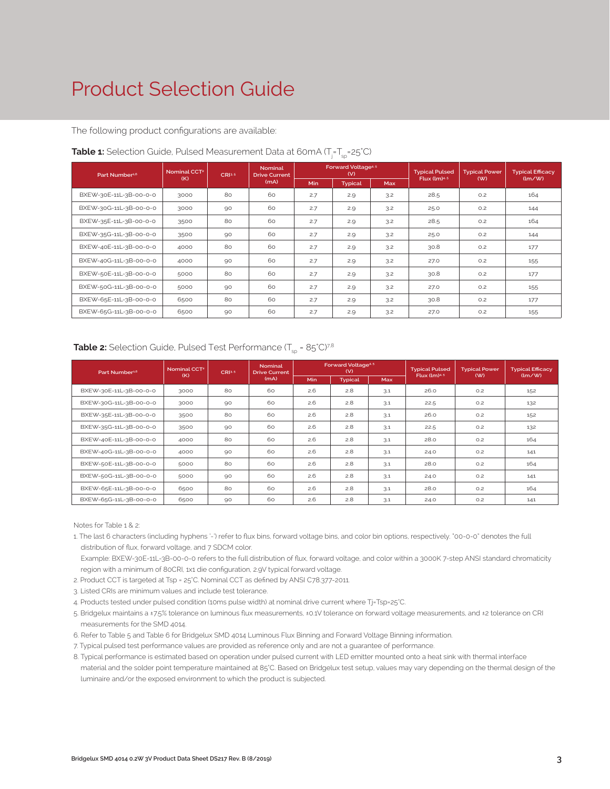## Product Selection Guide

The following product configurations are available:

| Part Number <sup>1,6</sup> | <b>Nominal</b><br>Nominal CCT <sup>2</sup><br>CRI3.5<br><b>Drive Current</b> |    |      | Forward Voltage <sup>4.5</sup><br>(V) |                |            | <b>Typical Power</b> | <b>Typical Efficacy</b> |               |
|----------------------------|------------------------------------------------------------------------------|----|------|---------------------------------------|----------------|------------|----------------------|-------------------------|---------------|
|                            | (K)                                                                          |    | (mA) | <b>Min</b>                            | <b>Typical</b> | <b>Max</b> | Flux $(lm)^{4.5}$    | (W)                     | $\frac{1}{2}$ |
| BXEW-30E-11L-3B-00-0-0     | 3000                                                                         | 80 | 60   | 2.7                                   | 2.9            | 3.2        | 28.5                 | O.2                     | 164           |
| BXEW-30G-11L-3B-00-0-0     | 3000                                                                         | 90 | 60   | 2.7                                   | 2.9            | 3.2        | 25.0                 | O.2                     | 144           |
| BXEW-35E-11L-3B-00-0-0     | 3500                                                                         | 80 | 60   | 2.7                                   | 2.9            | 3.2        | 28.5                 | O.2                     | 164           |
| BXEW-35G-11L-3B-00-0-0     | 3500                                                                         | 90 | 60   | 2.7                                   | 2.9            | 3.2        | 25.0                 | O.2                     | 144           |
| BXEW-40E-11L-3B-00-0-0     | 4000                                                                         | 80 | 60   | 2.7                                   | 2.9            | 3.2        | 30.8                 | O.2                     | 177           |
| BXEW-40G-11L-3B-00-0-0     | 4000                                                                         | 90 | 60   | 2.7                                   | 2.9            | 3.2        | 27.0                 | O.2                     | 155           |
| BXEW-50E-11L-3B-00-0-0     | 5000                                                                         | 80 | 60   | 2.7                                   | 2.9            | 3.2        | 30.8                 | O.2                     | 177           |
| BXEW-50G-11L-3B-00-0-0     | 5000                                                                         | 90 | 60   | 2.7                                   | 2.9            | 3.2        | 27.0                 | O.2                     | 155           |
| BXEW-65E-11L-3B-00-0-0     | 6500                                                                         | 80 | 60   | 2.7                                   | 2.9            | 3.2        | 30.8                 | O.2                     | 177           |
| BXEW-65G-11L-3B-00-0-0     | 6500                                                                         | 90 | 60   | 2.7                                   | 2.9            | 3.2        | 27.0                 | O.2                     | 155           |

#### **Table 1:** Selection Guide, Pulsed Measurement Data at 60mA (T<sub>j</sub>=T<sub>sp</sub>=25°C)

## **Table 2:** Selection Guide, Pulsed Test Performance (T<sub>sp</sub> = 85°C)<sup>78</sup>

| Part Number <sup>1,6</sup> | Nominal CCT <sup>2</sup> | CRI3.5 | <b>Nominal</b><br><b>Drive Current</b> |      | Forward Voltage <sup>4.5</sup><br>(V) |     | <b>Typical Pulsed</b>    | <b>Typical Power</b> | <b>Typical Efficacy</b> |
|----------------------------|--------------------------|--------|----------------------------------------|------|---------------------------------------|-----|--------------------------|----------------------|-------------------------|
|                            | (K)                      |        | (mA)                                   | Min. | <b>Typical</b>                        | Max | Flux (Im) <sup>4.5</sup> | (W)                  | $\frac{1}{2}$           |
| BXEW-30E-11L-3B-00-0-0     | 3000                     | 80     | 60                                     | 2.6  | 2.8                                   | 3.1 | 26.0                     | O.2                  | 152                     |
| BXEW-30G-11L-3B-00-0-0     | 3000                     | 90     | 60                                     | 2.6  | 2.8                                   | 3.1 | 22.5                     | O.2                  | 132                     |
| BXEW-35E-11L-3B-00-0-0     | 3500                     | 80     | 60                                     | 2.6  | 2.8                                   | 3.1 | 26.0                     | O.2                  | 152                     |
| BXEW-35G-11L-3B-00-0-0     | 3500                     | 90     | 60                                     | 2.6  | 2.8                                   | 3.1 | 22.5                     | O.2                  | 132                     |
| BXEW-40E-11L-3B-00-0-0     | 4000                     | 80     | 60                                     | 2.6  | 2.8                                   | 3.1 | 28.0                     | O.2                  | 164                     |
| BXEW-40G-11L-3B-00-0-0     | 4000                     | 90     | 60                                     | 2.6  | 2.8                                   | 3.1 | 24.0                     | O.2                  | 141                     |
| BXEW-50E-11L-3B-00-0-0     | 5000                     | 80     | 60                                     | 2.6  | 2.8                                   | 3.1 | 28.0                     | O.2                  | 164                     |
| BXEW-50G-11L-3B-00-0-0     | 5000                     | 90     | 60                                     | 2.6  | 2.8                                   | 3.1 | 24.0                     | O.2                  | 141                     |
| BXEW-65E-11L-3B-00-0-0     | 6500                     | 80     | 60                                     | 2.6  | 2.8                                   | 3.1 | 28.0                     | O.2                  | 164                     |
| BXEW-65G-11L-3B-00-0-0     | 6500                     | 90     | 60                                     | 2.6  | 2.8                                   | 3.1 | 24.0                     | O.2                  | 141                     |

Notes for Table 1 & 2:

- 1. The last 6 characters (including hyphens '-') refer to flux bins, forward voltage bins, and color bin options, respectively. "00-0-0" denotes the full distribution of flux, forward voltage, and 7 SDCM color.
- Example: BXEW-30E-11L-3B-00-0-0 refers to the full distribution of flux, forward voltage, and color within a 3000K 7-step ANSI standard chromaticity region with a minimum of 80CRI, 1x1 die configuration, 2.9V typical forward voltage.
- 2. Product CCT is targeted at Tsp = 25°C. Nominal CCT as defined by ANSI C78.377-2011.
- 3. Listed CRIs are minimum values and include test tolerance.
- 4. Products tested under pulsed condition (10ms pulse width) at nominal drive current where Tj=Tsp=25°C.
- 5. Bridgelux maintains a ±7.5% tolerance on luminous flux measurements, ±0.1V tolerance on forward voltage measurements, and ±2 tolerance on CRI measurements for the SMD 4014.
- 6. Refer to Table 5 and Table 6 for Bridgelux SMD 4014 Luminous Flux Binning and Forward Voltage Binning information.
- 7. Typical pulsed test performance values are provided as reference only and are not a guarantee of performance.
- 8. Typical performance is estimated based on operation under pulsed current with LED emitter mounted onto a heat sink with thermal interface material and the solder point temperature maintained at 85°C. Based on Bridgelux test setup, values may vary depending on the thermal design of the luminaire and/or the exposed environment to which the product is subjected.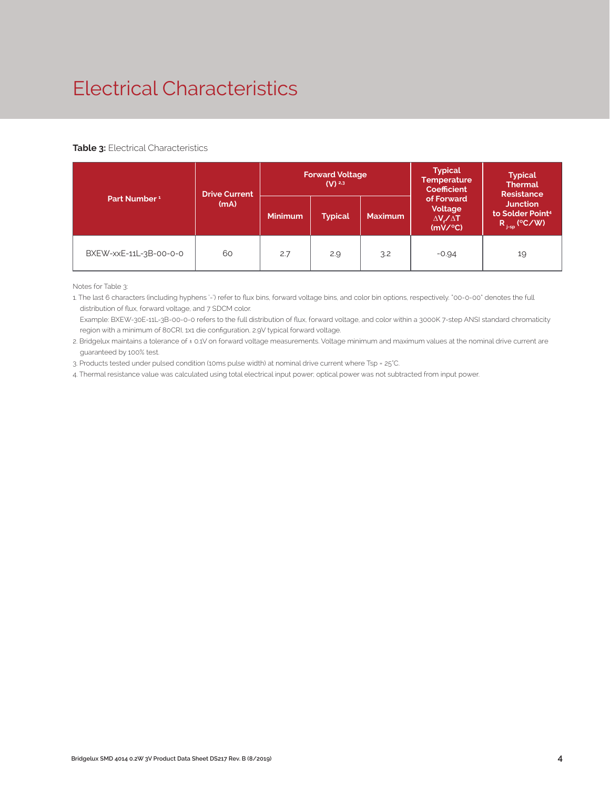## Electrical Characteristics

#### **Table 3: Electrical Characteristics**

|                          | <b>Drive Current</b> |                                  | <b>Forward Voltage</b><br>$(V)$ <sup>2,3</sup> |                | <b>Typical</b><br><b>Temperature</b><br>Coefficient           | <b>Typical</b><br><b>Thermal</b><br><b>Resistance</b>                |  |
|--------------------------|----------------------|----------------------------------|------------------------------------------------|----------------|---------------------------------------------------------------|----------------------------------------------------------------------|--|
| Part Number <sup>1</sup> | (mA)                 | <b>Minimum</b><br><b>Typical</b> |                                                | <b>Maximum</b> | of Forward<br>Voltage<br>$\Delta V \angle \Delta T$<br>(mV/C) | <b>Junction</b><br>to Solder Point <sup>4</sup><br>$R_{j-sp}$ (°C/W) |  |
| BXEW-xxE-11L-3B-00-0-0   | 60                   | 2.7                              | 2.9                                            | 3.2            | $-0.94$                                                       | 19                                                                   |  |

Notes for Table 3:

1. The last 6 characters (including hyphens '-') refer to flux bins, forward voltage bins, and color bin options, respectively. "00-0-00" denotes the full distribution of flux, forward voltage, and 7 SDCM color.

 Example: BXEW-30E-11L-3B-00-0-0 refers to the full distribution of flux, forward voltage, and color within a 3000K 7-step ANSI standard chromaticity region with a minimum of 80CRI, 1x1 die configuration, 2.9V typical forward voltage.

2. Bridgelux maintains a tolerance of ± 0.1V on forward voltage measurements. Voltage minimum and maximum values at the nominal drive current are guaranteed by 100% test.

3. Products tested under pulsed condition (10ms pulse width) at nominal drive current where Tsp = 25°C.

4. Thermal resistance value was calculated using total electrical input power; optical power was not subtracted from input power.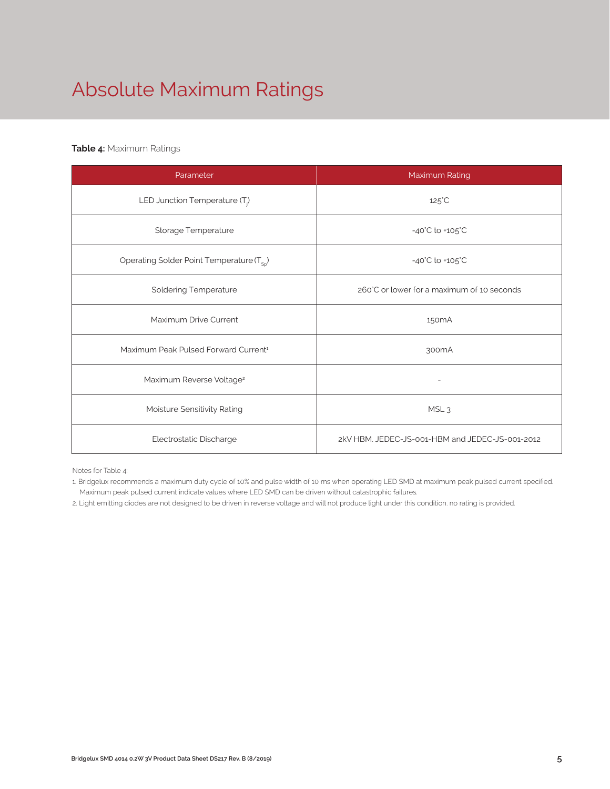## Absolute Maximum Ratings

## **Table 4:** Maximum Ratings

| Parameter                                             | Maximum Rating                                  |  |  |  |
|-------------------------------------------------------|-------------------------------------------------|--|--|--|
| LED Junction Temperature $(T_i)$                      | $125^{\circ}$ C                                 |  |  |  |
| Storage Temperature                                   | $-40^{\circ}$ C to $+105^{\circ}$ C             |  |  |  |
| Operating Solder Point Temperature (T <sub>Sp</sub> ) | -40°C to +105°C                                 |  |  |  |
| <b>Soldering Temperature</b>                          | 260°C or lower for a maximum of 10 seconds      |  |  |  |
| Maximum Drive Current                                 | 150 <sub>m</sub> A                              |  |  |  |
| Maximum Peak Pulsed Forward Current <sup>1</sup>      | 300mA                                           |  |  |  |
| Maximum Reverse Voltage <sup>2</sup>                  |                                                 |  |  |  |
| Moisture Sensitivity Rating                           | MSL <sub>3</sub>                                |  |  |  |
| Electrostatic Discharge                               | 2kV HBM. JEDEC-JS-001-HBM and JEDEC-JS-001-2012 |  |  |  |

Notes for Table 4:

1. Bridgelux recommends a maximum duty cycle of 10% and pulse width of 10 ms when operating LED SMD at maximum peak pulsed current specified. Maximum peak pulsed current indicate values where LED SMD can be driven without catastrophic failures.

2. Light emitting diodes are not designed to be driven in reverse voltage and will not produce light under this condition. no rating is provided.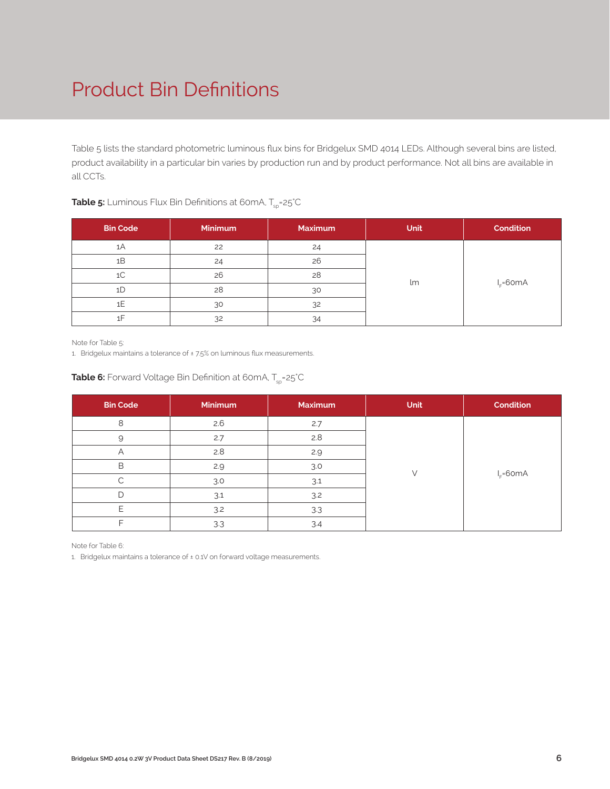## Product Bin Definitions

Table 5 lists the standard photometric luminous flux bins for Bridgelux SMD 4014 LEDs. Although several bins are listed, product availability in a particular bin varies by production run and by product performance. Not all bins are available in all CCTs.

| <b>Bin Code</b> | Minimum | <b>Maximum</b> | <b>Unit</b> | Condition      |
|-----------------|---------|----------------|-------------|----------------|
| 1A              | 22      | 24             |             |                |
| 1B              | 24      | 26             |             |                |
| 1 <sup>C</sup>  | 26      | 28             | lm          |                |
| 1D              | 28      | 30             |             | $I_{E} = 60mA$ |
| 1E              | 30      | 32             |             |                |
| 1F              | 32      | 34             |             |                |

## **Table 5:** Luminous Flux Bin Definitions at 60mA, T<sub>sp</sub>=25<sup>°</sup>C

Note for Table 5:

1. Bridgelux maintains a tolerance of ± 7.5% on luminous flux measurements.

| <b>Bin Code</b> | <b>Minimum</b> | Maximum | Unit | <b>Condition</b> |
|-----------------|----------------|---------|------|------------------|
| 8               | 2.6            | 2.7     |      |                  |
| 9               | 2.7            | 2.8     |      |                  |
| Α               | 2.8            | 2.9     |      |                  |
| B               | 2.9            | 3.0     |      | $I_c = 60mA$     |
|                 | 3.0            | 3.1     |      |                  |
| D               | 3.1            | 3.2     |      |                  |
| F               | 3.2            | 3.3     |      |                  |
|                 | 3.3            | 3.4     |      |                  |

## **Table 6:** Forward Voltage Bin Definition at 60mA, T<sub>sp</sub>=25°C

Note for Table 6:

1. Bridgelux maintains a tolerance of ± 0.1V on forward voltage measurements.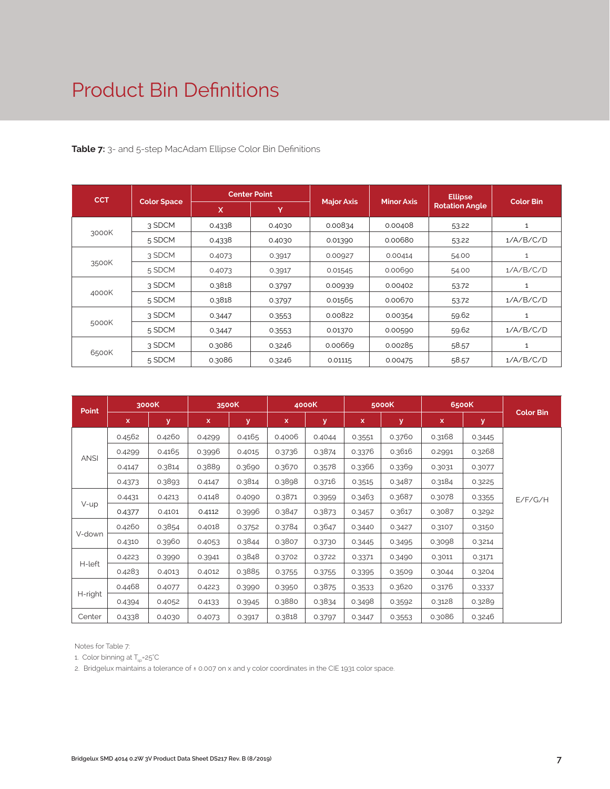## Product Bin Definitions

### **Table 7:** 3- and 5-step MacAdam Ellipse Color Bin Definitions

| <b>CCT</b> |                    |        | <b>Center Point</b> | <b>Major Axis</b> | <b>Minor Axis</b> | <b>Ellipse</b>        | <b>Color Bin</b> |
|------------|--------------------|--------|---------------------|-------------------|-------------------|-----------------------|------------------|
|            | <b>Color Space</b> | X      | Y                   |                   |                   | <b>Rotation Angle</b> |                  |
|            | 3 SDCM             | 0.4338 | 0.4030              | 0.00834           | 0.00408           | 53.22                 | 1                |
| 3000K      | 5 SDCM             | 0.4338 | 0.4030              | 0.01390           | 0.00680           | 53.22                 | 1/A/B/C/D        |
|            | 3 SDCM             | 0.4073 | 0.3917              | 0.00927           | 0.00414           | 54.00                 | 1                |
| 3500K      | 5 SDCM             | 0.4073 | 0.3917              | 0.01545           | 0.00690           | 54.00                 | 1/A/B/C/D        |
|            | 3 SDCM             | 0.3818 | 0.3797              | 0.00939           | 0.00402           | 53.72                 | 1                |
| 4000K      | 5 SDCM             | 0.3818 | 0.3797              | 0.01565           | 0.00670           | 53.72                 | 1/A/B/C/D        |
|            | 3 SDCM             | 0.3447 | 0.3553              | 0.00822           | 0.00354           | 59.62                 | 1                |
| 5000K      | 5 SDCM             | 0.3447 | 0.3553              | 0.01370           | 0.00590           | 59.62                 | 1/A/B/C/D        |
|            | 3 SDCM             | 0.3086 | 0.3246              | 0.00669           | 0.00285           | 58.57                 | 1                |
| 6500K      | 5 SDCM             | 0.3086 | 0.3246              | 0.01115           | 0.00475           | 58.57                 | 1/A/B/C/D        |

| <b>Point</b> |        | 3000K        | 3500K  |        |             | 4000K  |        | 5000K  |        | 6500K  | <b>Color Bin</b> |
|--------------|--------|--------------|--------|--------|-------------|--------|--------|--------|--------|--------|------------------|
|              | x      | $\mathbf{y}$ | X.     | У      | $\mathbf x$ | y      | x      | y      | x      | y      |                  |
|              | 0.4562 | 0.4260       | 0.4299 | 0.4165 | 0.4006      | 0.4044 | 0.3551 | 0.3760 | 0.3168 | 0.3445 |                  |
|              | 0.4299 | 0.4165       | 0.3996 | 0.4015 | 0.3736      | 0.3874 | 0.3376 | 0.3616 | 0.2991 | 0.3268 |                  |
| <b>ANSI</b>  | 0.4147 | 0.3814       | 0.3889 | 0.3690 | 0.3670      | 0.3578 | 0.3366 | 0.3369 | 0.3031 | 0.3077 |                  |
|              | 0.4373 | 0.3893       | 0.4147 | 0.3814 | 0.3898      | 0.3716 | 0.3515 | 0.3487 | 0.3184 | 0.3225 |                  |
|              | 0.4431 | 0.4213       | 0.4148 | 0.4090 | 0.3871      | 0.3959 | 0.3463 | 0.3687 | 0.3078 | 0.3355 | E/F/G/H          |
| $V$ -up      | 0.4377 | 0.4101       | 0.4112 | 0.3996 | 0.3847      | 0.3873 | 0.3457 | 0.3617 | 0.3087 | 0.3292 |                  |
|              | 0.4260 | 0.3854       | 0.4018 | 0.3752 | 0.3784      | 0.3647 | 0.3440 | 0.3427 | 0.3107 | 0.3150 |                  |
| V-down       | 0.4310 | 0.3960       | 0.4053 | 0.3844 | 0.3807      | 0.3730 | 0.3445 | 0.3495 | 0.3098 | 0.3214 |                  |
|              | 0.4223 | 0.3990       | 0.3941 | 0.3848 | 0.3702      | 0.3722 | 0.3371 | 0.3490 | 0.3011 | 0.3171 |                  |
| H-left       | 0.4283 | 0.4013       | 0.4012 | 0.3885 | 0.3755      | 0.3755 | 0.3395 | 0.3509 | 0.3044 | 0.3204 |                  |
|              | 0.4468 | 0.4077       | 0.4223 | 0.3990 | 0.3950      | 0.3875 | 0.3533 | 0.3620 | 0.3176 | 0.3337 |                  |
| H-right      | 0.4394 | 0.4052       | 0.4133 | 0.3945 | 0.3880      | 0.3834 | 0.3498 | 0.3592 | 0.3128 | 0.3289 |                  |
| Center       | 0.4338 | 0.4030       | 0.4073 | 0.3917 | 0.3818      | 0.3797 | 0.3447 | 0.3553 | 0.3086 | 0.3246 |                  |

Notes for Table 7:

1. Color binning at  $T_{sp}$ =25°C

2. Bridgelux maintains a tolerance of ± 0.007 on x and y color coordinates in the CIE 1931 color space.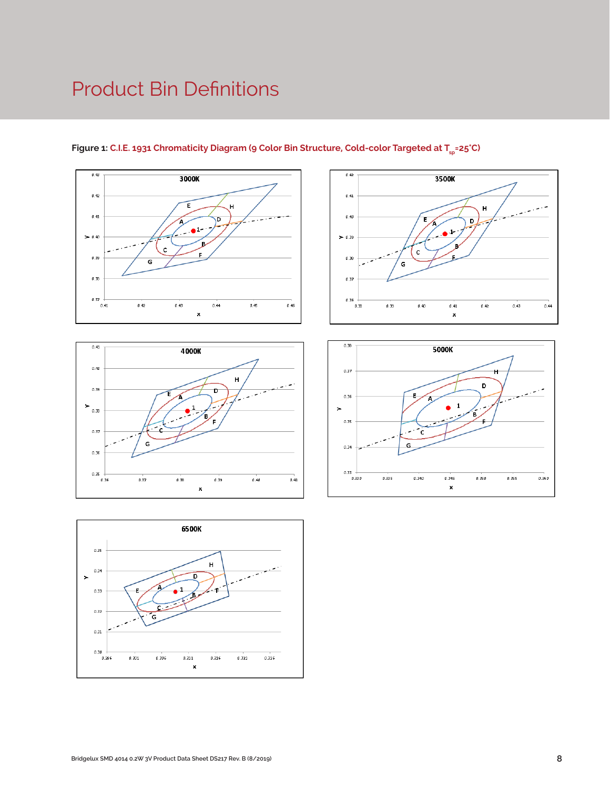## Product Bin Definitions









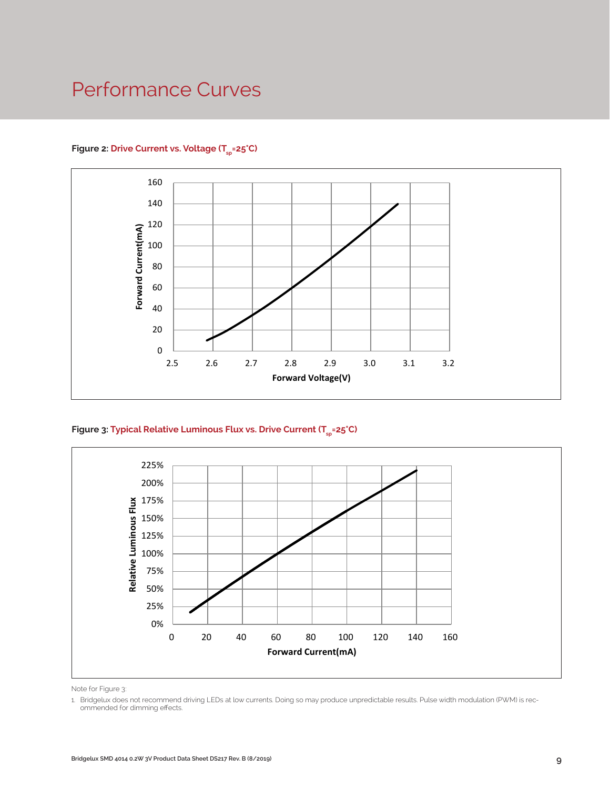## Performance Curves



### Figure 2: Drive Current vs. Voltage (T<sub>SD</sub>=25°C)





Note for Figure 3:

<sup>1.</sup> Bridgelux does not recommend driving LEDs at low currents. Doing so may produce unpredictable results. Pulse width modulation (PWM) is recommended for dimming effects.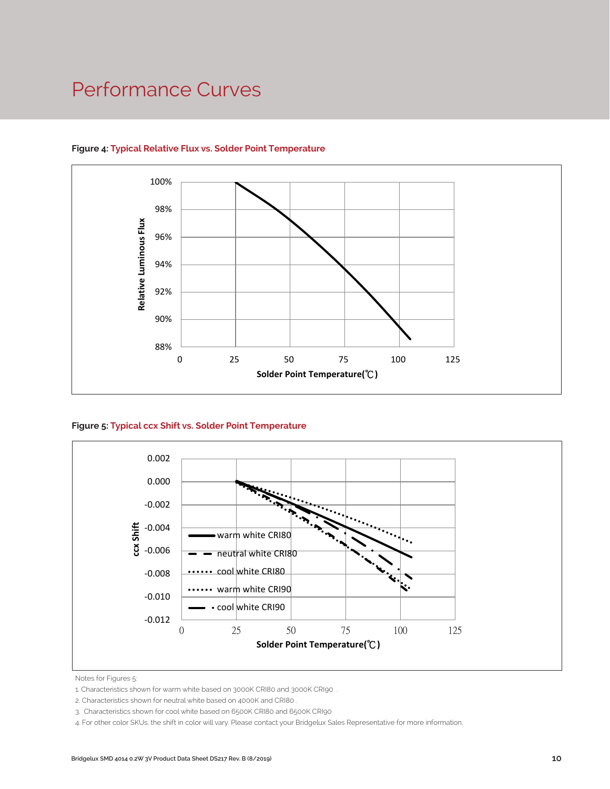## Performance Curves



#### **Figure 4: Typical Relative Flux vs. Solder Point Temperature**





Notes for Figures 5:

1. Characteristics shown for warm white based on 3000K CRI80 and 3000K CRI90 .

3. Characteristics shown for cool white based on 6500K CRI80 and 6500K CRI90

4. For other color SKUs, the shift in color will vary. Please contact your Bridgelux Sales Representative for more information.

<sup>2.</sup> Characteristics shown for neutral white based on 4000K and CRI80 .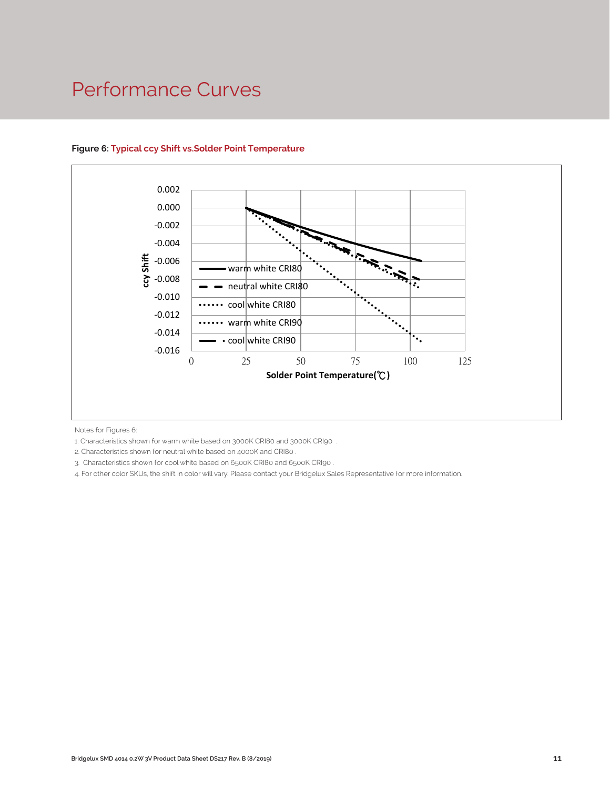## Performance Curves



#### **Figure 6: Typical ccy Shift vs.Solder Point Temperature**

Notes for Figures 6:

1. Characteristics shown for warm white based on 3000K CRI80 and 3000K CRI90 .

2. Characteristics shown for neutral white based on 4000K and CRI80 .

3. Characteristics shown for cool white based on 6500K CRI80 and 6500K CRI90 .

4. For other color SKUs, the shift in color will vary. Please contact your Bridgelux Sales Representative for more information.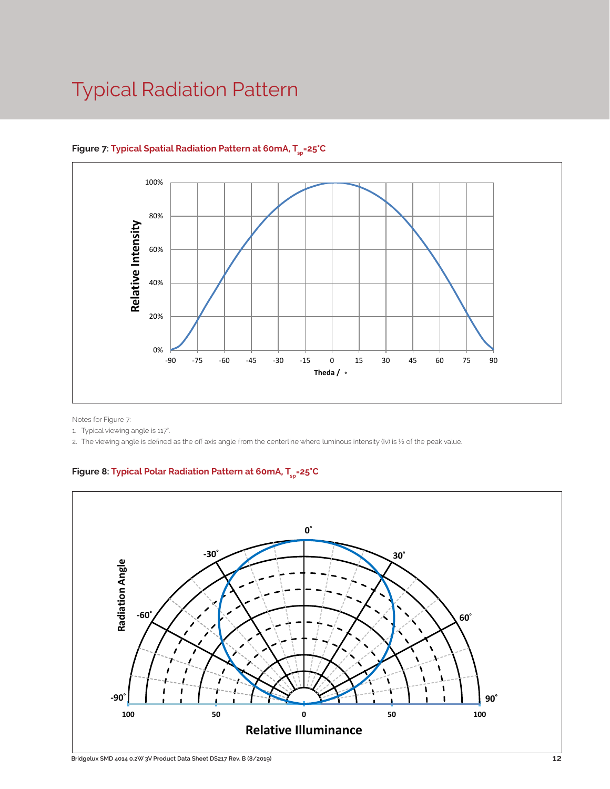## Typical Radiation Pattern



## Figure 7: Typical Spatial Radiation Pattern at 60mA, T<sub>er</sub>=25°C

Notes for Figure 7:

1. Typical viewing angle is 117°.

2. The viewing angle is defined as the off axis angle from the centerline where luminous intensity (Iv) is ½ of the peak value.

Figure 8: Typical Polar Radiation Pattern at 60mA, T<sub>sp</sub>=25°C

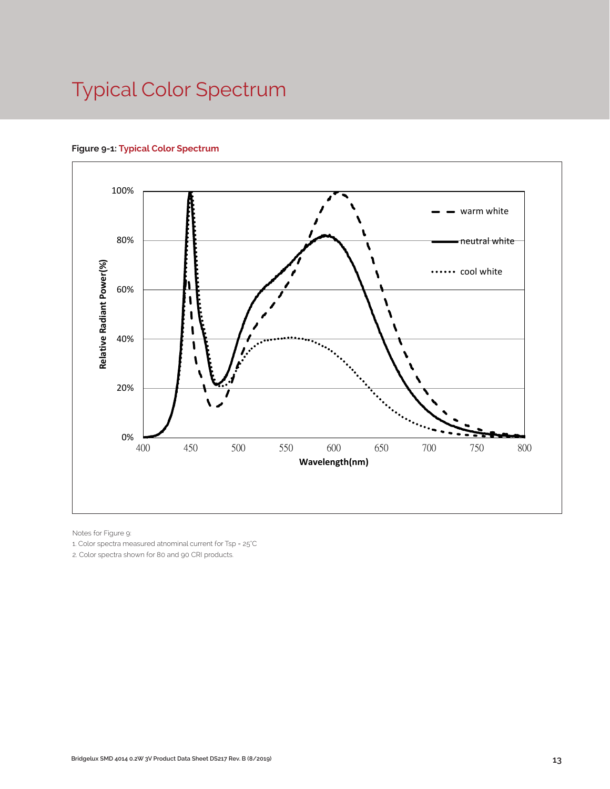## Typical Color Spectrum





Notes for Figure 9:

1. Color spectra measured atnominal current for Tsp = 25°C

2. Color spectra shown for 80 and 90 CRI products.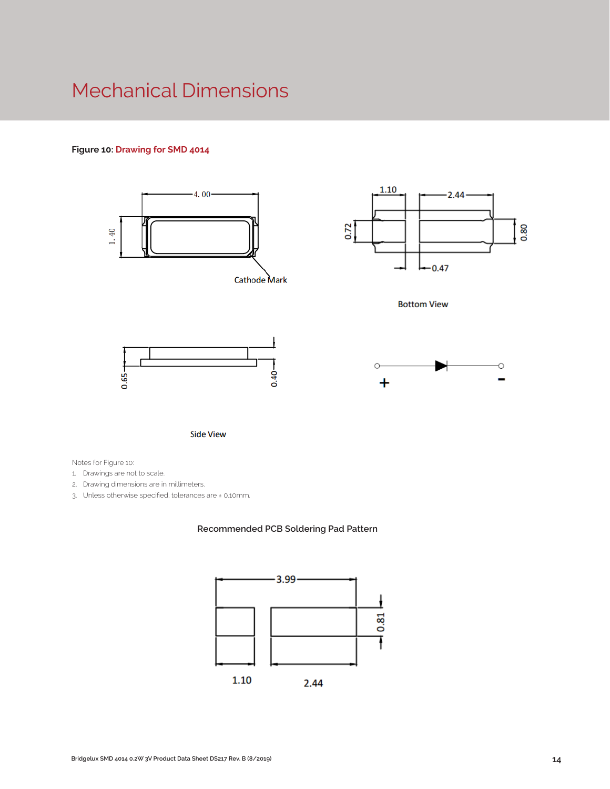## Mechanical Dimensions

### **Figure 10: Drawing for SMD 4014**



**Side View** 

Notes for Figure 10:

1. Drawings are not to scale.

- 2. Drawing dimensions are in millimeters.
- 3. Unless otherwise specified, tolerances are ± 0.10mm.

#### **Recommended PCB Soldering Pad Pattern**

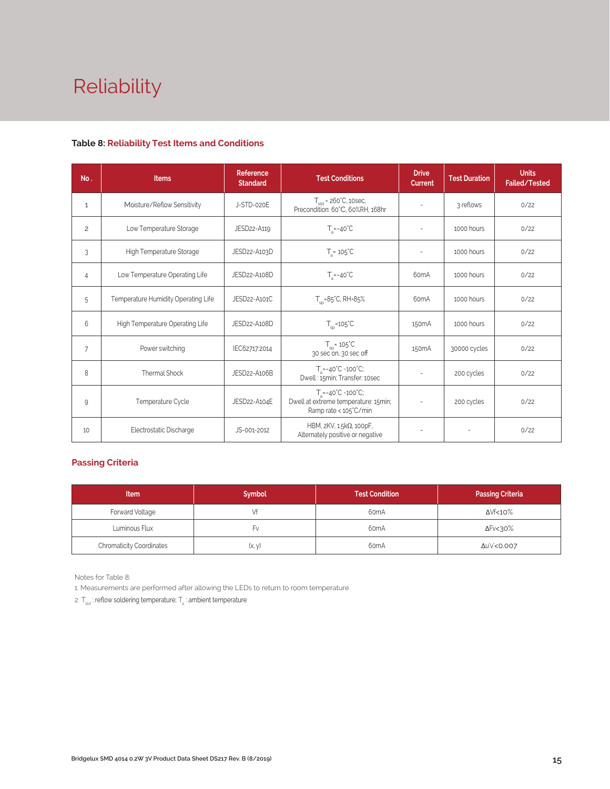# Reliability

#### **Table 8: Reliability Test Items and Conditions**

| No.            | <b>Items</b>                        | Reference<br><b>Standard</b> | <b>Test Conditions</b>                                                                                    | <b>Drive</b><br><b>Current</b> | <b>Test Duration</b> | <b>Units</b><br>Failed/Tested |
|----------------|-------------------------------------|------------------------------|-----------------------------------------------------------------------------------------------------------|--------------------------------|----------------------|-------------------------------|
| $\mathbf{1}$   | Moisture/Reflow Sensitivity         | J-STD-020E                   | $Tstd = 260°C$ , 10sec,<br>Precondition: 60°C, 60%RH, 168hr                                               | ٠                              | 3 reflows            | 0/22                          |
| $\overline{c}$ | Low Temperature Storage             | JESD22-A119                  | $T_a = -40^{\circ}C$                                                                                      | $\sim$                         | 1000 hours           | 0/22                          |
| 3              | High Temperature Storage            | JESD22-A103D                 | $T_a = 105^{\circ}C$                                                                                      |                                | 1000 hours           | 0/22                          |
| $\overline{4}$ | Low Temperature Operating Life      | JESD22-A108D                 | $T_a = -40^{\circ}C$                                                                                      | 60 <sub>m</sub> A              | 1000 hours           | 0/22                          |
| 5              | Temperature Humidity Operating Life | JESD22-A101C                 | $T_{\rm SD} = 85^{\circ}$ C, RH=85%                                                                       | 60 <sub>m</sub> A              | 1000 hours           | 0/22                          |
| 6              | High Temperature Operating Life     | JESD22-A108D                 | $T_{\rm sn}$ =105°C                                                                                       | 150 <sub>m</sub> A             | 1000 hours           | 0/22                          |
| 7              | Power switching                     | IEC62717:2014                | $T_{\rm SD}$ = 105 $\degree$ C<br>30 sec on, 30 sec off                                                   | 150 <sub>m</sub> A             | 30000 cycles         | 0/22                          |
| 8              | Thermal Shock                       | JESD22-A106B                 | $T_a = -40^{\circ}C - 100^{\circ}C$ ;<br>Dwell: 15min; Transfer: 10sec                                    |                                | 200 cycles           | 0/22                          |
| 9              | Temperature Cycle                   | JESD22-A104E                 | $T_a = -40^{\circ}C \sim 100^{\circ}C$ ;<br>Dwell at extreme temperature: 15min;<br>Ramp rate < 105°C/min |                                | 200 cycles           | 0/22                          |
| 10             | Electrostatic Discharge             | JS-001-2012                  | HBM, 2KV, 1.5kΩ, 100pF,<br>Alternately positive or negative                                               |                                |                      | 0/22                          |

### **Passing Criteria**

| <b>Item</b>                     | <b>Symbol</b> | Test Condition    | <b>Passing Criteria</b> |
|---------------------------------|---------------|-------------------|-------------------------|
| Forward Voltage                 | Vf            | 60 <sub>m</sub> A | ΔVf<10%                 |
| Luminous Flux                   | ŀ٧            | 60 <sub>m</sub> A | ∆Fv<30%                 |
| <b>Chromaticity Coordinates</b> | (x, y)        |                   | Δu'v'<0.007             |

Notes for Table 8:

1. Measurements are performed after allowing the LEDs to return to room temperature

2.  $T_{\text{std}}$ : reflow soldering temperature;  $T_{\text{a}}$ : ambient temperature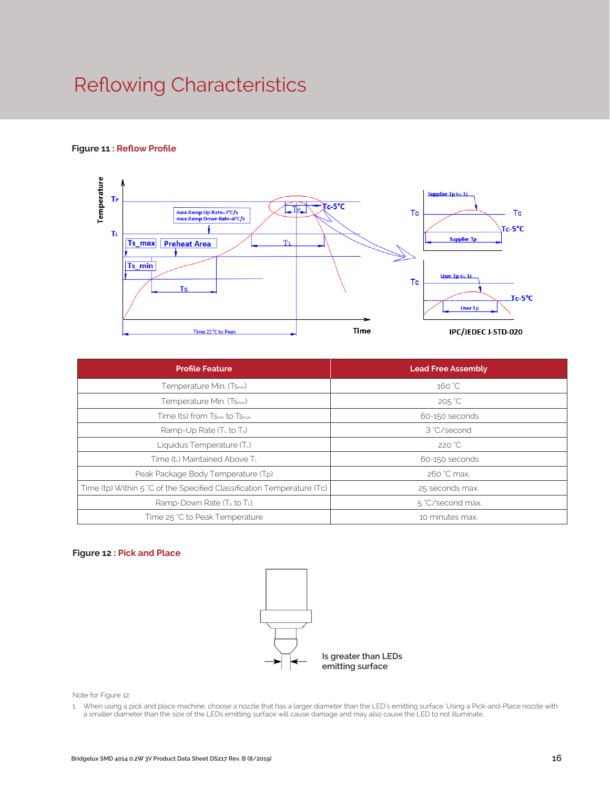## Reflowing Characteristics

#### **Figure 11 : Reflow Profile**



| <b>Profile Feature</b>                                                 | <b>Lead Free Assembly</b> |  |  |
|------------------------------------------------------------------------|---------------------------|--|--|
| Temperature Min. (Tsmin)                                               | 160 °C                    |  |  |
| Temperature Min. (T <sub>Smax</sub> )                                  | $205^{\circ}$ C           |  |  |
| Time (ts) from Ts <sub>min</sub> to Ts <sub>max</sub>                  | 60-150 seconds            |  |  |
| Ramp-Up Rate $(TL$ to $Tp)$                                            | 3 °C/second               |  |  |
| Liquidus Temperature (TL)                                              | 220 °C                    |  |  |
| Time (tL) Maintained Above TL                                          | 60-150 seconds            |  |  |
| Peak Package Body Temperature (Tp)                                     | 260 °C max.               |  |  |
| Time (tp) Within 5 °C of the Specified Classification Temperature (Tc) | 25 seconds max.           |  |  |
| Ramp-Down Rate $(T_P$ to $T_L$ )                                       | 5 °C/second max.          |  |  |
| Time 25 °C to Peak Temperature                                         | 10 minutes max.           |  |  |

#### **Figure 12 : Pick and Place**



Note for Figure 12:

1. When using a pick and place machine, choose a nozzle that has a larger diameter than the LED's emitting surface. Using a Pick-and-Place nozzle with a smaller diameter than the size of the LEDs emitting surface will cause damage and may also cause the LED to not illuminate.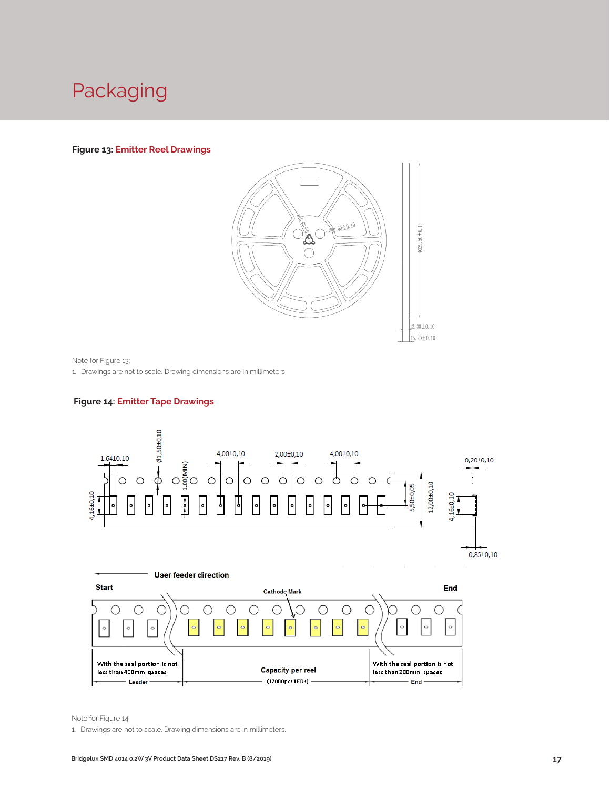## Packaging

#### **Figure 13: Emitter Reel Drawings**



Note for Figure 13:

1. Drawings are not to scale. Drawing dimensions are in millimeters.

#### **Figure 14: Emitter Tape Drawings**



Note for Figure 14:

1. Drawings are not to scale. Drawing dimensions are in millimeters.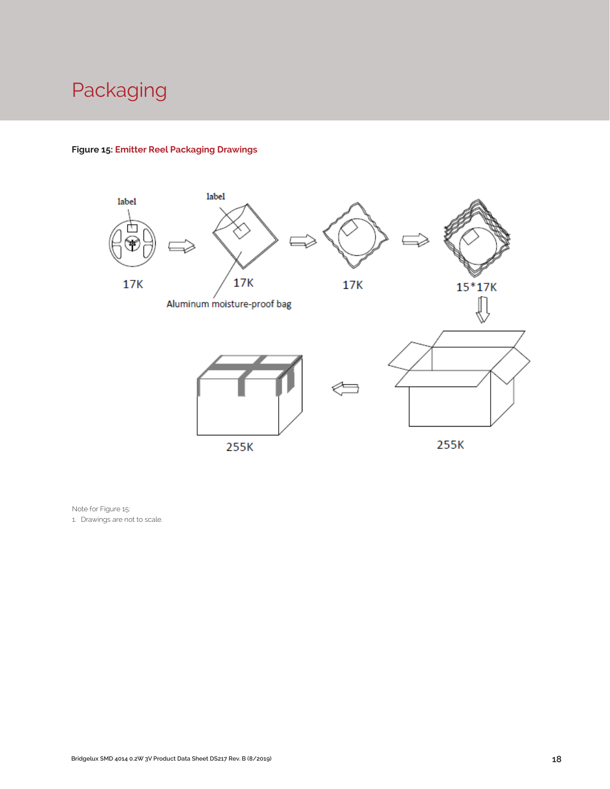## Packaging

## **Figure 15: Emitter Reel Packaging Drawings**



Note for Figure 15:

1. Drawings are not to scale.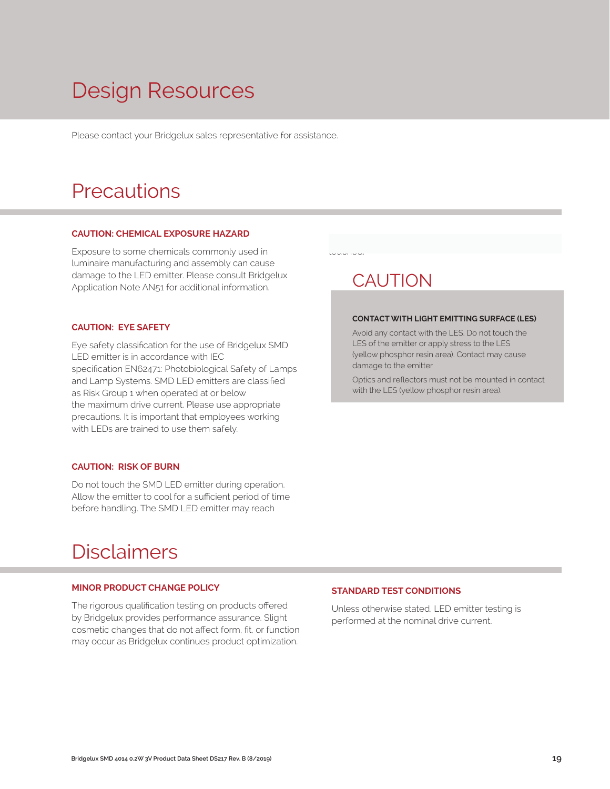## Design Resources

Please contact your Bridgelux sales representative for assistance.

## **Precautions**

#### **CAUTION: CHEMICAL EXPOSURE HAZARD**

Exposure to some chemicals commonly used in luminaire manufacturing and assembly can cause damage to the LED emitter. Please consult Bridgelux Application Note AN51 for additional information.

#### **CAUTION: EYE SAFETY**

Eye safety classification for the use of Bridgelux SMD LED emitter is in accordance with IEC specification EN62471: Photobiological Safety of Lamps and Lamp Systems. SMD LED emitters are classified as Risk Group 1 when operated at or below the maximum drive current. Please use appropriate precautions. It is important that employees working with LEDs are trained to use them safely.

#### **CAUTION: RISK OF BURN**

Do not touch the SMD LED emitter during operation. Allow the emitter to cool for a sufficient period of time before handling. The SMD LED emitter may reach

## Disclaimers

#### **MINOR PRODUCT CHANGE POLICY**

The rigorous qualification testing on products offered by Bridgelux provides performance assurance. Slight cosmetic changes that do not affect form, fit, or function may occur as Bridgelux continues product optimization.

## **CAUTION**

touched.

#### **CONTACT WITH LIGHT EMITTING SURFACE (LES)**

Avoid any contact with the LES. Do not touch the LES of the emitter or apply stress to the LES (yellow phosphor resin area). Contact may cause damage to the emitter

Optics and reflectors must not be mounted in contact with the LES (yellow phosphor resin area).

#### **STANDARD TEST CONDITIONS**

Unless otherwise stated, LED emitter testing is performed at the nominal drive current.